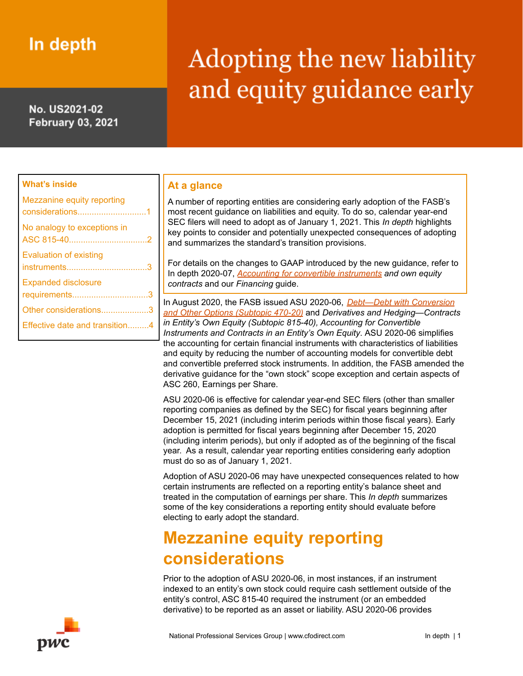# In depth

No. US2021-02 **February 03, 2021** 

# Adopting the new liability and equity guidance early

#### **What's inside**

| Mezzanine equity reporting<br>considerations1 |  |
|-----------------------------------------------|--|
| No analogy to exceptions in                   |  |
| Evaluation of existing                        |  |
| <b>Expanded disclosure</b><br>requirements3   |  |
| Other considerations3                         |  |
| Effective date and transition4                |  |

#### **At a glance**

A number of reporting entities are considering early adoption of the FASB's most recent guidance on liabilities and equity. To do so, calendar year-end SEC filers will need to adopt as of January 1, 2021. This *In depth* highlights key points to consider and potentially unexpected consequences of adopting and summarizes the standard's transition provisions.

For details on the changes to GAAP introduced by the new guidance, refer to In depth 2020-07, *Accounting for convertible [instruments](https://viewpoint.pwc.com/dt/us/en/pwc/in_depths/2020/us2020-07--accounting-for-convertible-instruments-and-own-equity-contracts/US2020-07--Accounting-for-convertible-instruments-and-own-equity-contracts/Accounting-for-convertible-instruments-and-own-equity-contracts.html) and own equity contracts* and our *Financing* guide.

In August 2020, the FASB issued ASU 2020-06, *[Debt—Debt](https://viewpoint.pwc.com/dt/us/en/fasb_financial_accou/asus_fulltext/2020/asu2020-06/ASU-2020-06/asu-2020-06.html) with Conversion and Other Options [\(Subtopic](https://viewpoint.pwc.com/dt/us/en/fasb_financial_accou/asus_fulltext/2020/asu2020-06/ASU-2020-06/asu-2020-06.html) 470-20)* and *Derivatives and Hedging—Contracts in Entity's Own Equity (Subtopic 815-40), Accounting for Convertible Instruments and Contracts in an Entity's Own Equity*. ASU 2020-06 simplifies the accounting for certain financial instruments with characteristics of liabilities and equity by reducing the number of accounting models for convertible debt and convertible preferred stock instruments. In addition, the FASB amended the derivative guidance for the "own stock" scope exception and certain aspects of ASC 260, Earnings per Share.

ASU 2020-06 is effective for calendar year-end SEC filers (other than smaller reporting companies as defined by the SEC) for fiscal years beginning after December 15, 2021 (including interim periods within those fiscal years). Early adoption is permitted for fiscal years beginning after December 15, 2020 (including interim periods), but only if adopted as of the beginning of the fiscal year. As a result, calendar year reporting entities considering early adoption must do so as of January 1, 2021.

Adoption of ASU 2020-06 may have unexpected consequences related to how certain instruments are reflected on a reporting entity's balance sheet and treated in the computation of earnings per share. This *In depth* summarizes some of the key considerations a reporting entity should evaluate before electing to early adopt the standard.

## <span id="page-0-0"></span>**Mezzanine equity reporting considerations**

Prior to the adoption of ASU 2020-06, in most instances, if an instrument indexed to an entity's own stock could require cash settlement outside of the entity's control, ASC 815-40 required the instrument (or an embedded derivative) to be reported as an asset or liability. ASU 2020-06 provides

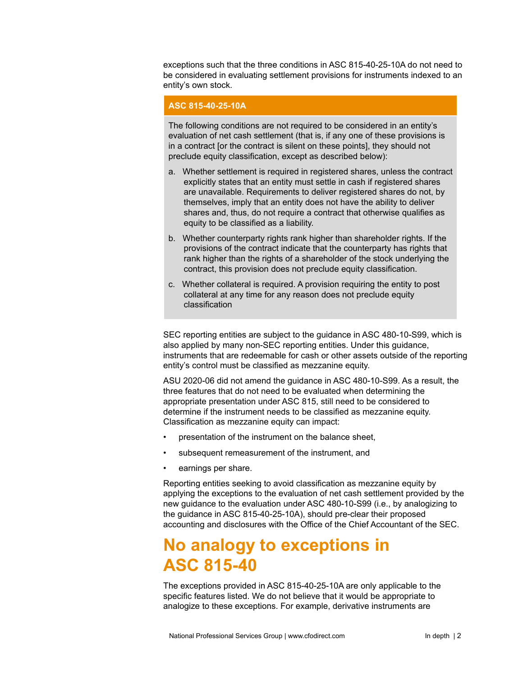exceptions such that the three conditions in ASC 815-40-25-10A do not need to be considered in evaluating settlement provisions for instruments indexed to an entity's own stock.

#### **ASC 815-40-25-10A**

The following conditions are not required to be considered in an entity's evaluation of net cash settlement (that is, if any one of these provisions is in a contract [or the contract is silent on these points], they should not preclude equity classification, except as described below):

- a. Whether settlement is required in registered shares, unless the contract explicitly states that an entity must settle in cash if registered shares are unavailable. Requirements to deliver registered shares do not, by themselves, imply that an entity does not have the ability to deliver shares and, thus, do not require a contract that otherwise qualifies as equity to be classified as a liability.
- b. Whether counterparty rights rank higher than shareholder rights. If the provisions of the contract indicate that the counterparty has rights that rank higher than the rights of a shareholder of the stock underlying the contract, this provision does not preclude equity classification.
- c. Whether collateral is required. A provision requiring the entity to post collateral at any time for any reason does not preclude equity classification

SEC reporting entities are subject to the guidance in ASC 480-10-S99, which is also applied by many non-SEC reporting entities. Under this guidance, instruments that are redeemable for cash or other assets outside of the reporting entity's control must be classified as mezzanine equity.

ASU 2020-06 did not amend the guidance in ASC 480-10-S99. As a result, the three features that do not need to be evaluated when determining the appropriate presentation under ASC 815, still need to be considered to determine if the instrument needs to be classified as mezzanine equity. Classification as mezzanine equity can impact:

- presentation of the instrument on the balance sheet,
- subsequent remeasurement of the instrument, and
- earnings per share.

Reporting entities seeking to avoid classification as mezzanine equity by applying the exceptions to the evaluation of net cash settlement provided by the new guidance to the evaluation under ASC 480-10-S99 (i.e., by analogizing to the guidance in ASC 815-40-25-10A), should pre-clear their proposed accounting and disclosures with the Office of the Chief Accountant of the SEC.

### <span id="page-1-0"></span>**No analogy to exceptions in ASC 815-40**

The exceptions provided in ASC 815-40-25-10A are only applicable to the specific features listed. We do not believe that it would be appropriate to analogize to these exceptions. For example, derivative instruments are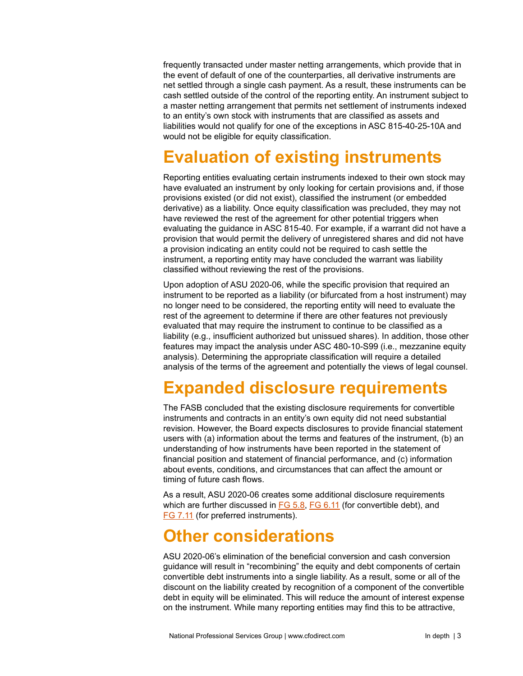frequently transacted under master netting arrangements, which provide that in the event of default of one of the counterparties, all derivative instruments are net settled through a single cash payment. As a result, these instruments can be cash settled outside of the control of the reporting entity. An instrument subject to a master netting arrangement that permits net settlement of instruments indexed to an entity's own stock with instruments that are classified as assets and liabilities would not qualify for one of the exceptions in ASC 815-40-25-10A and would not be eligible for equity classification.

## <span id="page-2-0"></span>**Evaluation of existing instruments**

Reporting entities evaluating certain instruments indexed to their own stock may have evaluated an instrument by only looking for certain provisions and, if those provisions existed (or did not exist), classified the instrument (or embedded derivative) as a liability. Once equity classification was precluded, they may not have reviewed the rest of the agreement for other potential triggers when evaluating the guidance in ASC 815-40. For example, if a warrant did not have a provision that would permit the delivery of unregistered shares and did not have a provision indicating an entity could not be required to cash settle the instrument, a reporting entity may have concluded the warrant was liability classified without reviewing the rest of the provisions.

Upon adoption of ASU 2020-06, while the specific provision that required an instrument to be reported as a liability (or bifurcated from a host instrument) may no longer need to be considered, the reporting entity will need to evaluate the rest of the agreement to determine if there are other features not previously evaluated that may require the instrument to continue to be classified as a liability (e.g., insufficient authorized but unissued shares). In addition, those other features may impact the analysis under ASC 480-10-S99 (i.e., mezzanine equity analysis). Determining the appropriate classification will require a detailed analysis of the terms of the agreement and potentially the views of legal counsel.

### <span id="page-2-1"></span>**Expanded disclosure requirements**

The FASB concluded that the existing disclosure requirements for convertible instruments and contracts in an entity's own equity did not need substantial revision. However, the Board expects disclosures to provide financial statement users with (a) information about the terms and features of the instrument, (b) an understanding of how instruments have been reported in the statement of financial position and statement of financial performance, and (c) information about events, conditions, and circumstances that can affect the amount or timing of future cash flows.

As a result, ASU 2020-06 creates some additional disclosure requirements which are further discussed in  $FG 5.8$ ,  $FG 6.11$  $FG 6.11$  (for convertible debt), and FG [7.11](https://www.pwc.com/us/en/cfodirect/publications/accounting-guides/financing-transactions-debt-equity-instruments.html) (for preferred instruments).

### <span id="page-2-2"></span>**Other considerations**

ASU 2020-06's elimination of the beneficial conversion and cash conversion guidance will result in "recombining" the equity and debt components of certain convertible debt instruments into a single liability. As a result, some or all of the discount on the liability created by recognition of a component of the convertible debt in equity will be eliminated. This will reduce the amount of interest expense on the instrument. While many reporting entities may find this to be attractive,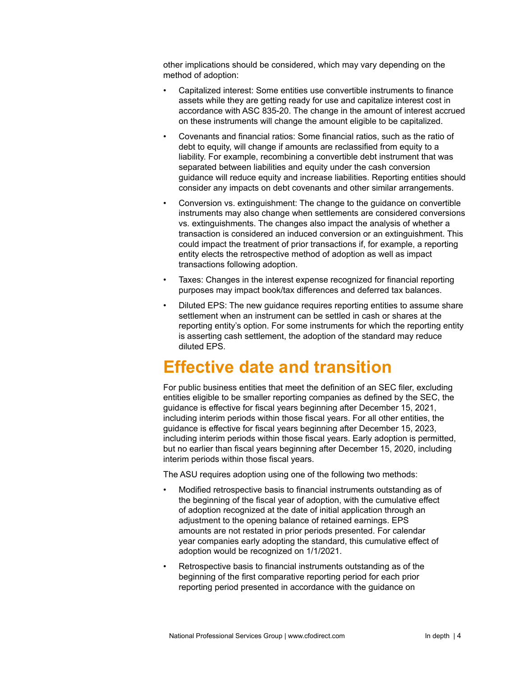other implications should be considered, which may vary depending on the method of adoption:

- Capitalized interest: Some entities use convertible instruments to finance assets while they are getting ready for use and capitalize interest cost in accordance with ASC 835-20. The change in the amount of interest accrued on these instruments will change the amount eligible to be capitalized.
- Covenants and financial ratios: Some financial ratios, such as the ratio of debt to equity, will change if amounts are reclassified from equity to a liability. For example, recombining a convertible debt instrument that was separated between liabilities and equity under the cash conversion guidance will reduce equity and increase liabilities. Reporting entities should consider any impacts on debt covenants and other similar arrangements.
- Conversion vs. extinguishment: The change to the guidance on convertible instruments may also change when settlements are considered conversions vs. extinguishments. The changes also impact the analysis of whether a transaction is considered an induced conversion or an extinguishment. This could impact the treatment of prior transactions if, for example, a reporting entity elects the retrospective method of adoption as well as impact transactions following adoption.
- Taxes: Changes in the interest expense recognized for financial reporting purposes may impact book/tax differences and deferred tax balances.
- Diluted EPS: The new guidance requires reporting entities to assume share settlement when an instrument can be settled in cash or shares at the reporting entity's option. For some instruments for which the reporting entity is asserting cash settlement, the adoption of the standard may reduce diluted EPS.

### <span id="page-3-0"></span>**Effective date and transition**

For public business entities that meet the definition of an SEC filer, excluding entities eligible to be smaller reporting companies as defined by the SEC, the guidance is effective for fiscal years beginning after December 15, 2021, including interim periods within those fiscal years. For all other entities, the guidance is effective for fiscal years beginning after December 15, 2023, including interim periods within those fiscal years. Early adoption is permitted, but no earlier than fiscal years beginning after December 15, 2020, including interim periods within those fiscal years.

The ASU requires adoption using one of the following two methods:

- Modified retrospective basis to financial instruments outstanding as of the beginning of the fiscal year of adoption, with the cumulative effect of adoption recognized at the date of initial application through an adjustment to the opening balance of retained earnings. EPS amounts are not restated in prior periods presented. For calendar year companies early adopting the standard, this cumulative effect of adoption would be recognized on 1/1/2021.
- Retrospective basis to financial instruments outstanding as of the beginning of the first comparative reporting period for each prior reporting period presented in accordance with the guidance on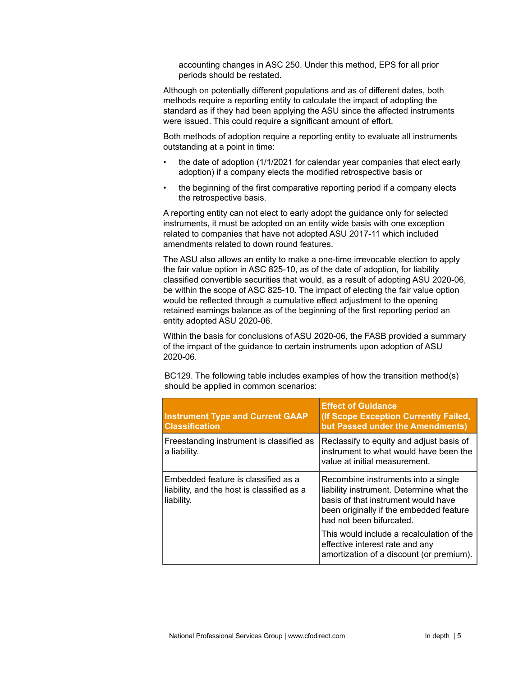accounting changes in ASC 250. Under this method, EPS for all prior periods should be restated.

Although on potentially different populations and as of different dates, both methods require a reporting entity to calculate the impact of adopting the standard as if they had been applying the ASU since the affected instruments were issued. This could require a significant amount of effort.

Both methods of adoption require a reporting entity to evaluate all instruments outstanding at a point in time:

- the date of adoption (1/1/2021 for calendar year companies that elect early adoption) if a company elects the modified retrospective basis or
- the beginning of the first comparative reporting period if a company elects the retrospective basis.

A reporting entity can not elect to early adopt the guidance only for selected instruments, it must be adopted on an entity wide basis with one exception related to companies that have not adopted ASU 2017-11 which included amendments related to down round features.

The ASU also allows an entity to make a one-time irrevocable election to apply the fair value option in ASC 825-10, as of the date of adoption, for liability classified convertible securities that would, as a result of adopting ASU 2020-06, be within the scope of ASC 825-10. The impact of electing the fair value option would be reflected through a cumulative effect adjustment to the opening retained earnings balance as of the beginning of the first reporting period an entity adopted ASU 2020-06.

Within the basis for conclusions of ASU 2020-06, the FASB provided a summary of the impact of the guidance to certain instruments upon adoption of ASU 2020-06.

BC129. The following table includes examples of how the transition method(s) should be applied in common scenarios:

| <b>Instrument Type and Current GAAP</b><br><b>Classification</b>                                | <b>Effect of Guidance</b><br>(If Scope Exception Currently Failed,<br>but Passed under the Amendments)                                                                                        |
|-------------------------------------------------------------------------------------------------|-----------------------------------------------------------------------------------------------------------------------------------------------------------------------------------------------|
| Freestanding instrument is classified as<br>a liability.                                        | Reclassify to equity and adjust basis of<br>instrument to what would have been the<br>value at initial measurement.                                                                           |
| Embedded feature is classified as a<br>liability, and the host is classified as a<br>liability. | Recombine instruments into a single<br>liability instrument. Determine what the<br>basis of that instrument would have<br>been originally if the embedded feature<br>had not been bifurcated. |
|                                                                                                 | This would include a recalculation of the<br>effective interest rate and any<br>amortization of a discount (or premium).                                                                      |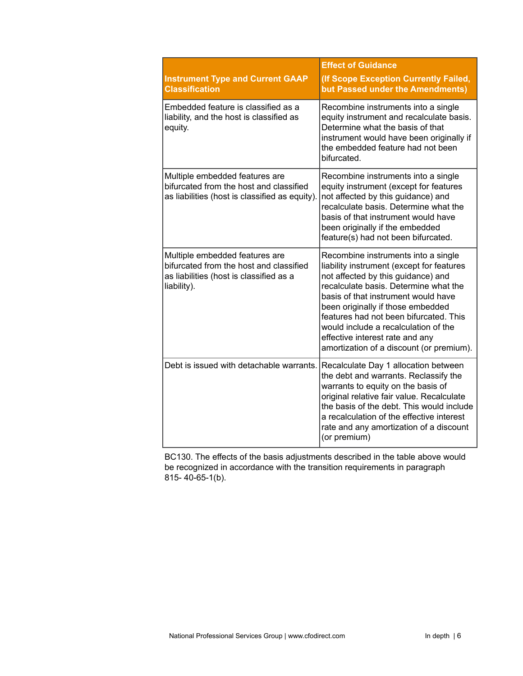|                                                                                                                                     | <b>Effect of Guidance</b>                                                                                                                                                                                                                                                                                                                                                                                    |
|-------------------------------------------------------------------------------------------------------------------------------------|--------------------------------------------------------------------------------------------------------------------------------------------------------------------------------------------------------------------------------------------------------------------------------------------------------------------------------------------------------------------------------------------------------------|
| <b>Instrument Type and Current GAAP</b><br><b>Classification</b>                                                                    | (If Scope Exception Currently Failed,<br>but Passed under the Amendments)                                                                                                                                                                                                                                                                                                                                    |
| Embedded feature is classified as a<br>liability, and the host is classified as<br>equity.                                          | Recombine instruments into a single<br>equity instrument and recalculate basis.<br>Determine what the basis of that<br>instrument would have been originally if<br>the embedded feature had not been<br>bifurcated.                                                                                                                                                                                          |
| Multiple embedded features are<br>bifurcated from the host and classified<br>as liabilities (host is classified as equity).         | Recombine instruments into a single<br>equity instrument (except for features<br>not affected by this guidance) and<br>recalculate basis. Determine what the<br>basis of that instrument would have<br>been originally if the embedded<br>feature(s) had not been bifurcated.                                                                                                                                |
| Multiple embedded features are<br>bifurcated from the host and classified<br>as liabilities (host is classified as a<br>liability). | Recombine instruments into a single<br>liability instrument (except for features<br>not affected by this guidance) and<br>recalculate basis. Determine what the<br>basis of that instrument would have<br>been originally if those embedded<br>features had not been bifurcated. This<br>would include a recalculation of the<br>effective interest rate and any<br>amortization of a discount (or premium). |
| Debt is issued with detachable warrants.                                                                                            | Recalculate Day 1 allocation between<br>the debt and warrants. Reclassify the<br>warrants to equity on the basis of<br>original relative fair value. Recalculate<br>the basis of the debt. This would include<br>a recalculation of the effective interest<br>rate and any amortization of a discount<br>(or premium)                                                                                        |

BC130. The effects of the basis adjustments described in the table above would be recognized in accordance with the transition requirements in paragraph 815- 40-65-1(b).